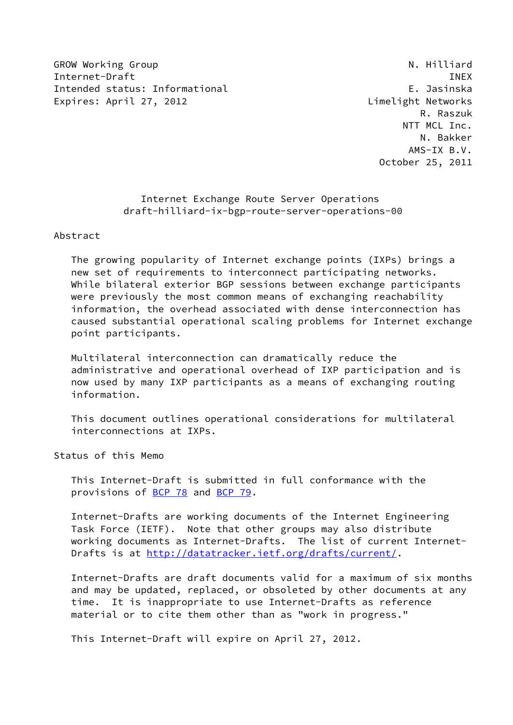GROW Working Group **N. Hilliard** N. Hilliard Internet-Draft **INEX** Intended status: Informational E. Jasinska Expires: April 27, 2012 **Limelight Networks** 

 R. Raszuk NTT MCL Inc. N. Bakker AMS-IX B.V. October 25, 2011

# Internet Exchange Route Server Operations draft-hilliard-ix-bgp-route-server-operations-00

Abstract

 The growing popularity of Internet exchange points (IXPs) brings a new set of requirements to interconnect participating networks. While bilateral exterior BGP sessions between exchange participants were previously the most common means of exchanging reachability information, the overhead associated with dense interconnection has caused substantial operational scaling problems for Internet exchange point participants.

 Multilateral interconnection can dramatically reduce the administrative and operational overhead of IXP participation and is now used by many IXP participants as a means of exchanging routing information.

 This document outlines operational considerations for multilateral interconnections at IXPs.

Status of this Memo

 This Internet-Draft is submitted in full conformance with the provisions of [BCP 78](https://datatracker.ietf.org/doc/pdf/bcp78) and [BCP 79](https://datatracker.ietf.org/doc/pdf/bcp79).

 Internet-Drafts are working documents of the Internet Engineering Task Force (IETF). Note that other groups may also distribute working documents as Internet-Drafts. The list of current Internet Drafts is at<http://datatracker.ietf.org/drafts/current/>.

 Internet-Drafts are draft documents valid for a maximum of six months and may be updated, replaced, or obsoleted by other documents at any time. It is inappropriate to use Internet-Drafts as reference material or to cite them other than as "work in progress."

This Internet-Draft will expire on April 27, 2012.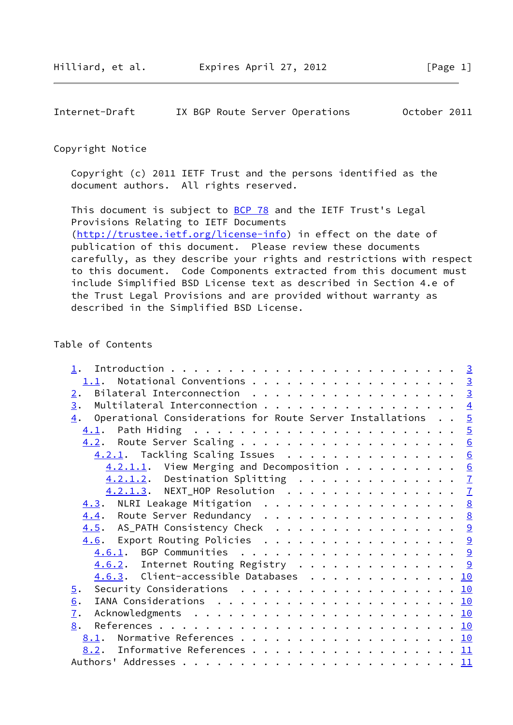Internet-Draft IX BGP Route Server Operations October 2011

#### Copyright Notice

 Copyright (c) 2011 IETF Trust and the persons identified as the document authors. All rights reserved.

This document is subject to **[BCP 78](https://datatracker.ietf.org/doc/pdf/bcp78)** and the IETF Trust's Legal Provisions Relating to IETF Documents [\(http://trustee.ietf.org/license-info](http://trustee.ietf.org/license-info)) in effect on the date of publication of this document. Please review these documents carefully, as they describe your rights and restrictions with respect to this document. Code Components extracted from this document must include Simplified BSD License text as described in Section 4.e of the Trust Legal Provisions and are provided without warranty as described in the Simplified BSD License.

# Table of Contents

| 1.                                                                          |  |  |
|-----------------------------------------------------------------------------|--|--|
| Notational Conventions 3<br>1.1.                                            |  |  |
| Bilateral Interconnection <u>3</u><br>2.                                    |  |  |
| Multilateral Interconnection $\frac{4}{5}$<br>$\overline{3}$ .              |  |  |
| $\frac{4}{1}$ . Operational Considerations for Route Server Installations 5 |  |  |
|                                                                             |  |  |
|                                                                             |  |  |
| 4.2.1. Tackling Scaling Issues 6                                            |  |  |
| $4.2.1.1.$ View Merging and Decomposition 6                                 |  |  |
| 4.2.1.2. Destination Splitting 7                                            |  |  |
| 4.2.1.3. NEXT_HOP Resolution 7                                              |  |  |
| $\underline{4.3}$ . NLRI Leakage Mitigation 8                               |  |  |
| 4.4. Route Server Redundancy 8                                              |  |  |
| $\underline{4.5}$ . AS_PATH Consistency Check 9                             |  |  |
| 4.6. Export Routing Policies 9                                              |  |  |
| 4.6.1. BGP Communities 9                                                    |  |  |
| $\underline{4.6.2}$ . Internet Routing Registry 9                           |  |  |
| 4.6.3. Client-accessible Databases 10                                       |  |  |
| Security Considerations 10<br>$\overline{5}$ .                              |  |  |
|                                                                             |  |  |
| 6.                                                                          |  |  |
| 7.                                                                          |  |  |
| 8.                                                                          |  |  |
| 8.1. Normative References 10                                                |  |  |
| <u>8.2</u> . Informative References 11                                      |  |  |
|                                                                             |  |  |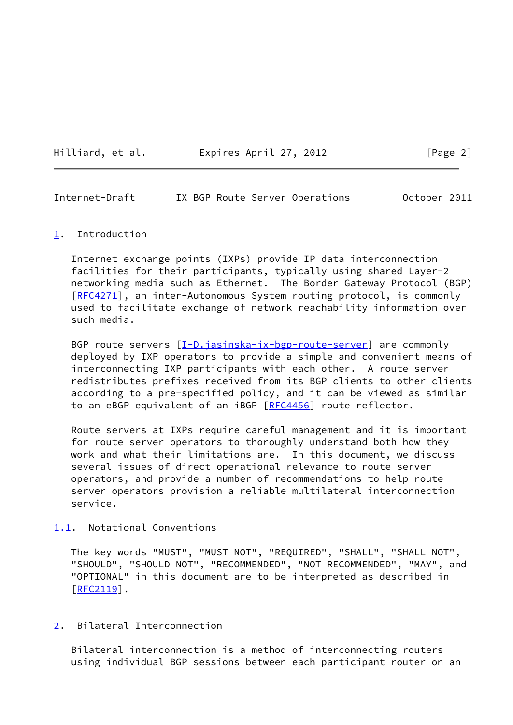Hilliard, et al. Expires April 27, 2012 [Page 2]

<span id="page-2-1"></span>Internet-Draft IX BGP Route Server Operations October 2011

#### <span id="page-2-0"></span>[1](#page-2-0). Introduction

 Internet exchange points (IXPs) provide IP data interconnection facilities for their participants, typically using shared Layer-2 networking media such as Ethernet. The Border Gateway Protocol (BGP) [\[RFC4271](https://datatracker.ietf.org/doc/pdf/rfc4271)], an inter-Autonomous System routing protocol, is commonly used to facilitate exchange of network reachability information over such media.

BGP route servers  $[I-D.java is <sub>1</sub> - <sub>1</sub> - <sub>1</sub> - <sub>1</sub> - <sub>1</sub> - <sub>1</sub> - <sub>1</sub> - <sub>1</sub> - <sub>1</sub> - <sub>1</sub> - <sub>1</sub> - <sub>1</sub> - <sub>1</sub> - <sub>1</sub> - <sub>1</sub> - <sub>1</sub> - <sub>1</sub> - <sub>1</sub> - <sub>1</sub> - <sub>1</sub> - <sub>1</sub> - <sub>1</sub> - <sub>1</sub> - <sub>1</sub> - <sub>1</sub>$  deployed by IXP operators to provide a simple and convenient means of interconnecting IXP participants with each other. A route server redistributes prefixes received from its BGP clients to other clients according to a pre-specified policy, and it can be viewed as similar to an eBGP equivalent of an iBGP [\[RFC4456](https://datatracker.ietf.org/doc/pdf/rfc4456)] route reflector.

 Route servers at IXPs require careful management and it is important for route server operators to thoroughly understand both how they work and what their limitations are. In this document, we discuss several issues of direct operational relevance to route server operators, and provide a number of recommendations to help route server operators provision a reliable multilateral interconnection service.

## <span id="page-2-2"></span>[1.1](#page-2-2). Notational Conventions

 The key words "MUST", "MUST NOT", "REQUIRED", "SHALL", "SHALL NOT", "SHOULD", "SHOULD NOT", "RECOMMENDED", "NOT RECOMMENDED", "MAY", and "OPTIONAL" in this document are to be interpreted as described in  $[REC2119]$ .

## <span id="page-2-3"></span>[2](#page-2-3). Bilateral Interconnection

 Bilateral interconnection is a method of interconnecting routers using individual BGP sessions between each participant router on an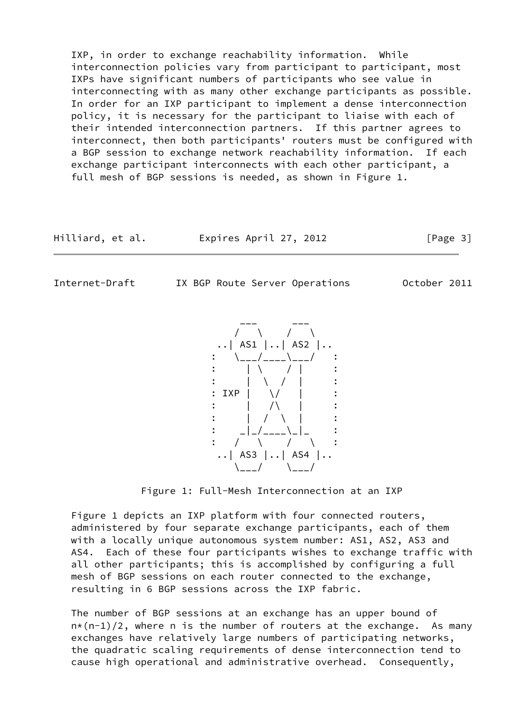IXP, in order to exchange reachability information. While interconnection policies vary from participant to participant, most IXPs have significant numbers of participants who see value in interconnecting with as many other exchange participants as possible. In order for an IXP participant to implement a dense interconnection policy, it is necessary for the participant to liaise with each of their intended interconnection partners. If this partner agrees to interconnect, then both participants' routers must be configured with a BGP session to exchange network reachability information. If each exchange participant interconnects with each other participant, a full mesh of BGP sessions is needed, as shown in Figure 1.

| Hilliard, et al. | Expires April 27, 2012 | [Page 3] |
|------------------|------------------------|----------|
|------------------|------------------------|----------|

<span id="page-3-0"></span>

Internet-Draft IX BGP Route Server Operations October 2011

 $\mathbf{C}$  :  $\mathbf{C}$   $\mathbf{C}$  :  $\mathbf{C}$   $\mathbf{C}$   $\mathbf{C}$   $\mathbf{C}$   $\mathbf{C}$   $\mathbf{C}$   $\mathbf{C}$   $\mathbf{C}$   $\mathbf{C}$   $\mathbf{C}$   $\mathbf{C}$   $\mathbf{C}$   $\mathbf{C}$   $\mathbf{C}$   $\mathbf{C}$   $\mathbf{C}$   $\mathbf{C}$   $\mathbf{C}$   $\mathbf{C}$   $\mathbf{C}$   $\mathbf{C}$   $\mathbf{C}$  :  $\mathbf{C}$   $\mathbf{C}$   $\mathbf{C}$   $\mathbf{C}$   $\mathbf{C}$   $\mathbf{C}$   $\mathbf{C}$   $\mathbf{C}$   $\mathbf{C}$   $\mathbf{C}$   $\mathbf{C}$   $\mathbf{C}$   $\mathbf{C}$   $\mathbf{C}$   $\mathbf{C}$   $\mathbf{C}$   $\mathbf{C}$   $\mathbf{C}$   $\mathbf{C}$   $\mathbf{C}$   $\mathbf{C}$   $\mathbf{C}$   $\mathbf{C}$   $\math$  : IXP | \/ | :  $\mathbf{C}$  :  $\mathbf{A}$   $\mathbf{A}$   $\mathbf{A}$   $\mathbf{A}$   $\mathbf{A}$   $\mathbf{A}$   $\mathbf{A}$   $\mathbf{A}$   $\mathbf{A}$   $\mathbf{A}$   $\mathbf{A}$   $\mathbf{A}$   $\mathbf{A}$   $\mathbf{A}$   $\mathbf{A}$   $\mathbf{A}$   $\mathbf{A}$   $\mathbf{A}$   $\mathbf{A}$   $\mathbf{A}$   $\mathbf{A}$   $\mathbf{A}$   $\mathbf{A}$   $\math$ :  $| / \setminus |$  : \_|\_/\_\_\_\_\\_|\_ : : / \ / \ :  $\left| . . \right|$  AS3  $\left| . . \right|$  AS4  $\left| . . \right|$ 

Figure 1: Full-Mesh Interconnection at an IXP

 Figure 1 depicts an IXP platform with four connected routers, administered by four separate exchange participants, each of them with a locally unique autonomous system number: AS1, AS2, AS3 and AS4. Each of these four participants wishes to exchange traffic with all other participants; this is accomplished by configuring a full mesh of BGP sessions on each router connected to the exchange, resulting in 6 BGP sessions across the IXP fabric.

 The number of BGP sessions at an exchange has an upper bound of  $n*(n-1)/2$ , where n is the number of routers at the exchange. As many exchanges have relatively large numbers of participating networks, the quadratic scaling requirements of dense interconnection tend to cause high operational and administrative overhead. Consequently,

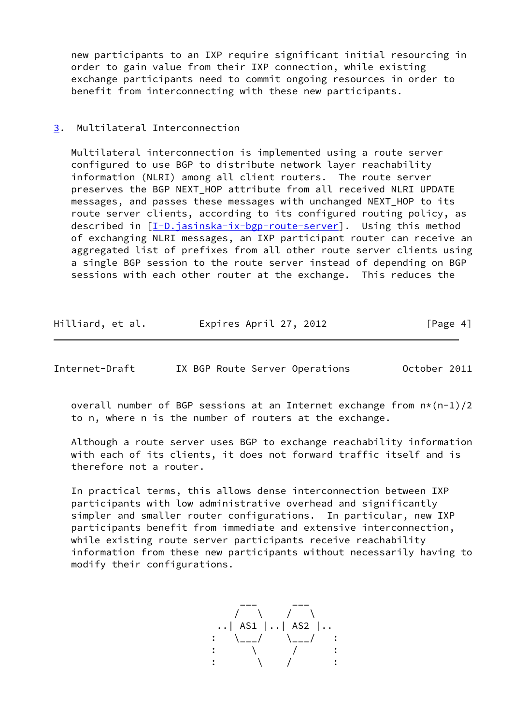new participants to an IXP require significant initial resourcing in order to gain value from their IXP connection, while existing exchange participants need to commit ongoing resources in order to benefit from interconnecting with these new participants.

# <span id="page-4-0"></span>[3](#page-4-0). Multilateral Interconnection

 Multilateral interconnection is implemented using a route server configured to use BGP to distribute network layer reachability information (NLRI) among all client routers. The route server preserves the BGP NEXT\_HOP attribute from all received NLRI UPDATE messages, and passes these messages with unchanged NEXT HOP to its route server clients, according to its configured routing policy, as described in [\[I-D.jasinska-ix-bgp-route-server](#page-11-3)]. Using this method of exchanging NLRI messages, an IXP participant router can receive an aggregated list of prefixes from all other route server clients using a single BGP session to the route server instead of depending on BGP sessions with each other router at the exchange. This reduces the

| Hilliard, et al. | Expires April 27, 2012 | [Page 4] |
|------------------|------------------------|----------|
|------------------|------------------------|----------|

<span id="page-4-1"></span>Internet-Draft IX BGP Route Server Operations October 2011

overall number of BGP sessions at an Internet exchange from  $n*(n-1)/2$ to n, where n is the number of routers at the exchange.

 Although a route server uses BGP to exchange reachability information with each of its clients, it does not forward traffic itself and is therefore not a router.

 In practical terms, this allows dense interconnection between IXP participants with low administrative overhead and significantly simpler and smaller router configurations. In particular, new IXP participants benefit from immediate and extensive interconnection, while existing route server participants receive reachability information from these new participants without necessarily having to modify their configurations.

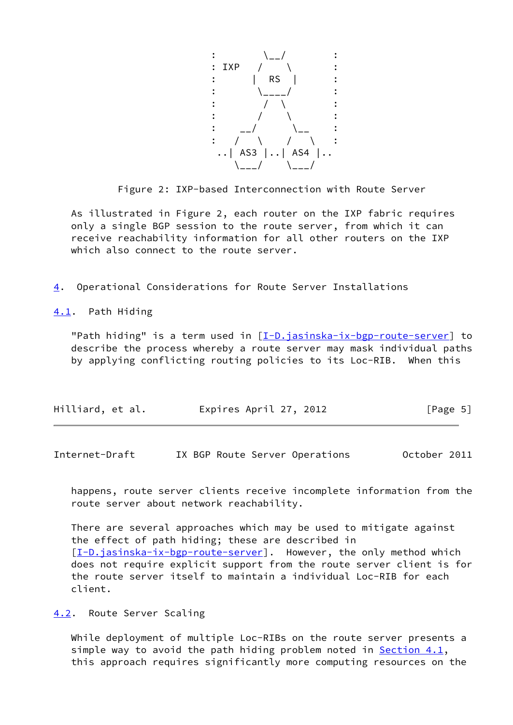

Figure 2: IXP-based Interconnection with Route Server

 As illustrated in Figure 2, each router on the IXP fabric requires only a single BGP session to the route server, from which it can receive reachability information for all other routers on the IXP which also connect to the route server.

<span id="page-5-0"></span>[4](#page-5-0). Operational Considerations for Route Server Installations

<span id="page-5-1"></span>[4.1](#page-5-1). Path Hiding

"Path hiding" is a term used in [\[I-D.jasinska-ix-bgp-route-server](#page-11-3)] to describe the process whereby a route server may mask individual paths by applying conflicting routing policies to its Loc-RIB. When this

| Hilliard, et al. | Expires April 27, 2012 | [Page 5] |
|------------------|------------------------|----------|
|                  |                        |          |

<span id="page-5-3"></span>Internet-Draft IX BGP Route Server Operations October 2011

 happens, route server clients receive incomplete information from the route server about network reachability.

 There are several approaches which may be used to mitigate against the effect of path hiding; these are described in [\[I-D.jasinska-ix-bgp-route-server](#page-11-3)]. However, the only method which does not require explicit support from the route server client is for the route server itself to maintain a individual Loc-RIB for each client.

<span id="page-5-2"></span>[4.2](#page-5-2). Route Server Scaling

 While deployment of multiple Loc-RIBs on the route server presents a simple way to avoid the path hiding problem noted in Section  $4.1$ , this approach requires significantly more computing resources on the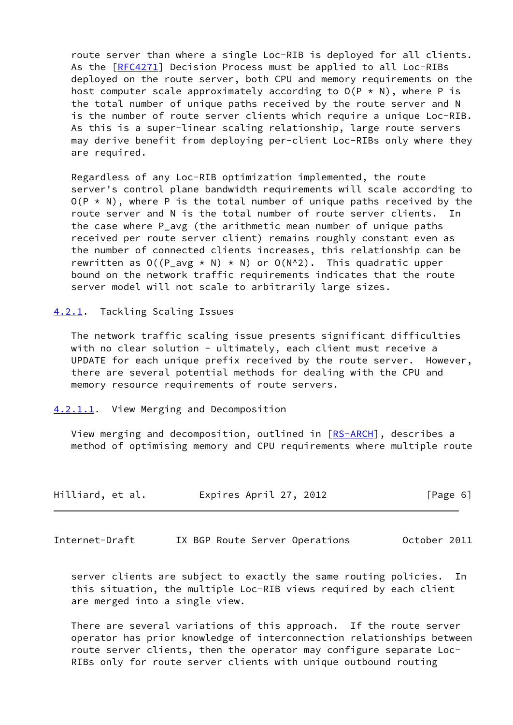route server than where a single Loc-RIB is deployed for all clients. As the [\[RFC4271](https://datatracker.ietf.org/doc/pdf/rfc4271)] Decision Process must be applied to all Loc-RIBs deployed on the route server, both CPU and memory requirements on the host computer scale approximately according to  $O(P \times N)$ , where P is the total number of unique paths received by the route server and N is the number of route server clients which require a unique Loc-RIB. As this is a super-linear scaling relationship, large route servers may derive benefit from deploying per-client Loc-RIBs only where they are required.

 Regardless of any Loc-RIB optimization implemented, the route server's control plane bandwidth requirements will scale according to  $O(P \star N)$ , where P is the total number of unique paths received by the route server and N is the total number of route server clients. In the case where P\_avg (the arithmetic mean number of unique paths received per route server client) remains roughly constant even as the number of connected clients increases, this relationship can be rewritten as  $O((P_{avg} * N) * N)$  or  $O(N^2)$ . This quadratic upper bound on the network traffic requirements indicates that the route server model will not scale to arbitrarily large sizes.

<span id="page-6-0"></span>[4.2.1](#page-6-0). Tackling Scaling Issues

 The network traffic scaling issue presents significant difficulties with no clear solution - ultimately, each client must receive a UPDATE for each unique prefix received by the route server. However, there are several potential methods for dealing with the CPU and memory resource requirements of route servers.

<span id="page-6-1"></span>[4.2.1.1](#page-6-1). View Merging and Decomposition

View merging and decomposition, outlined in [\[RS-ARCH](#page-11-4)], describes a method of optimising memory and CPU requirements where multiple route

| Hilliard, et al. | Expires April 27, 2012 | [Page 6] |
|------------------|------------------------|----------|
|------------------|------------------------|----------|

<span id="page-6-2"></span>Internet-Draft IX BGP Route Server Operations October 2011

 server clients are subject to exactly the same routing policies. In this situation, the multiple Loc-RIB views required by each client are merged into a single view.

 There are several variations of this approach. If the route server operator has prior knowledge of interconnection relationships between route server clients, then the operator may configure separate Loc- RIBs only for route server clients with unique outbound routing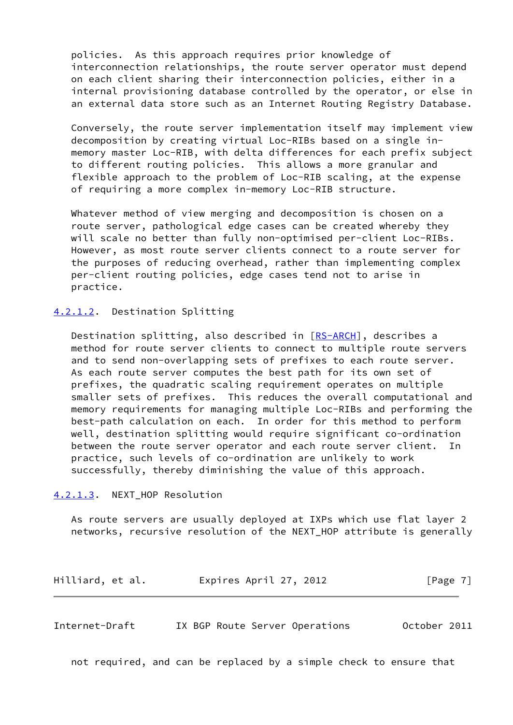policies. As this approach requires prior knowledge of interconnection relationships, the route server operator must depend on each client sharing their interconnection policies, either in a internal provisioning database controlled by the operator, or else in an external data store such as an Internet Routing Registry Database.

 Conversely, the route server implementation itself may implement view decomposition by creating virtual Loc-RIBs based on a single in memory master Loc-RIB, with delta differences for each prefix subject to different routing policies. This allows a more granular and flexible approach to the problem of Loc-RIB scaling, at the expense of requiring a more complex in-memory Loc-RIB structure.

 Whatever method of view merging and decomposition is chosen on a route server, pathological edge cases can be created whereby they will scale no better than fully non-optimised per-client Loc-RIBs. However, as most route server clients connect to a route server for the purposes of reducing overhead, rather than implementing complex per-client routing policies, edge cases tend not to arise in practice.

#### <span id="page-7-0"></span>[4.2.1.2](#page-7-0). Destination Splitting

Destination splitting, also described in [\[RS-ARCH](#page-11-4)], describes a method for route server clients to connect to multiple route servers and to send non-overlapping sets of prefixes to each route server. As each route server computes the best path for its own set of prefixes, the quadratic scaling requirement operates on multiple smaller sets of prefixes. This reduces the overall computational and memory requirements for managing multiple Loc-RIBs and performing the best-path calculation on each. In order for this method to perform well, destination splitting would require significant co-ordination between the route server operator and each route server client. In practice, such levels of co-ordination are unlikely to work successfully, thereby diminishing the value of this approach.

#### <span id="page-7-1"></span>[4.2.1.3](#page-7-1). NEXT HOP Resolution

 As route servers are usually deployed at IXPs which use flat layer 2 networks, recursive resolution of the NEXT\_HOP attribute is generally

| Hilliard, et al. | Expires April 27, 2012 | [Page 7] |
|------------------|------------------------|----------|
|------------------|------------------------|----------|

<span id="page-7-2"></span>Internet-Draft IX BGP Route Server Operations October 2011

not required, and can be replaced by a simple check to ensure that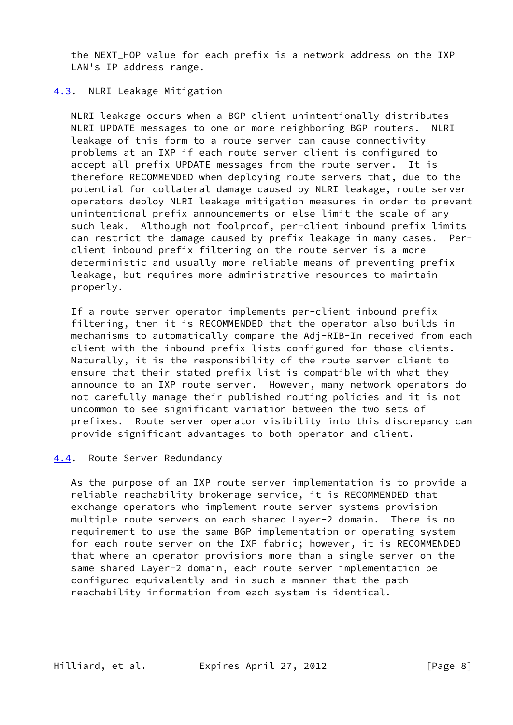the NEXT HOP value for each prefix is a network address on the IXP LAN's IP address range.

## <span id="page-8-0"></span>[4.3](#page-8-0). NLRI Leakage Mitigation

 NLRI leakage occurs when a BGP client unintentionally distributes NLRI UPDATE messages to one or more neighboring BGP routers. leakage of this form to a route server can cause connectivity problems at an IXP if each route server client is configured to accept all prefix UPDATE messages from the route server. It is therefore RECOMMENDED when deploying route servers that, due to the potential for collateral damage caused by NLRI leakage, route server operators deploy NLRI leakage mitigation measures in order to prevent unintentional prefix announcements or else limit the scale of any such leak. Although not foolproof, per-client inbound prefix limits can restrict the damage caused by prefix leakage in many cases. Per client inbound prefix filtering on the route server is a more deterministic and usually more reliable means of preventing prefix leakage, but requires more administrative resources to maintain properly.

 If a route server operator implements per-client inbound prefix filtering, then it is RECOMMENDED that the operator also builds in mechanisms to automatically compare the Adj-RIB-In received from each client with the inbound prefix lists configured for those clients. Naturally, it is the responsibility of the route server client to ensure that their stated prefix list is compatible with what they announce to an IXP route server. However, many network operators do not carefully manage their published routing policies and it is not uncommon to see significant variation between the two sets of prefixes. Route server operator visibility into this discrepancy can provide significant advantages to both operator and client.

# <span id="page-8-1"></span>[4.4](#page-8-1). Route Server Redundancy

 As the purpose of an IXP route server implementation is to provide a reliable reachability brokerage service, it is RECOMMENDED that exchange operators who implement route server systems provision multiple route servers on each shared Layer-2 domain. There is no requirement to use the same BGP implementation or operating system for each route server on the IXP fabric; however, it is RECOMMENDED that where an operator provisions more than a single server on the same shared Layer-2 domain, each route server implementation be configured equivalently and in such a manner that the path reachability information from each system is identical.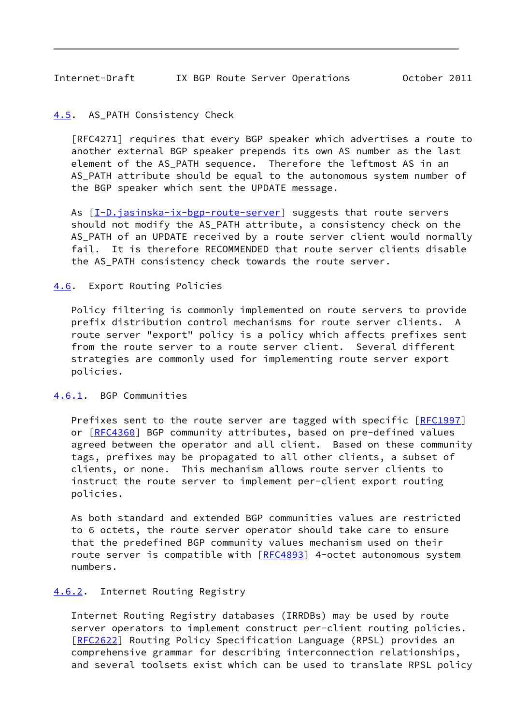## <span id="page-9-1"></span><span id="page-9-0"></span>[4.5](#page-9-0). AS\_PATH Consistency Check

 [RFC4271] requires that every BGP speaker which advertises a route to another external BGP speaker prepends its own AS number as the last element of the AS\_PATH sequence. Therefore the leftmost AS in an AS PATH attribute should be equal to the autonomous system number of the BGP speaker which sent the UPDATE message.

As  $[I-D.ijasinska-ix-bgp-route-server]$  suggests that route servers should not modify the AS\_PATH attribute, a consistency check on the AS\_PATH of an UPDATE received by a route server client would normally fail. It is therefore RECOMMENDED that route server clients disable the AS\_PATH consistency check towards the route server.

## <span id="page-9-2"></span>[4.6](#page-9-2). Export Routing Policies

 Policy filtering is commonly implemented on route servers to provide prefix distribution control mechanisms for route server clients. A route server "export" policy is a policy which affects prefixes sent from the route server to a route server client. Several different strategies are commonly used for implementing route server export policies.

## <span id="page-9-3"></span>[4.6.1](#page-9-3). BGP Communities

Prefixes sent to the route server are tagged with specific [[RFC1997\]](https://datatracker.ietf.org/doc/pdf/rfc1997) or [[RFC4360\]](https://datatracker.ietf.org/doc/pdf/rfc4360) BGP community attributes, based on pre-defined values agreed between the operator and all client. Based on these community tags, prefixes may be propagated to all other clients, a subset of clients, or none. This mechanism allows route server clients to instruct the route server to implement per-client export routing policies.

 As both standard and extended BGP communities values are restricted to 6 octets, the route server operator should take care to ensure that the predefined BGP community values mechanism used on their route server is compatible with [\[RFC4893](https://datatracker.ietf.org/doc/pdf/rfc4893)] 4-octet autonomous system numbers.

### <span id="page-9-4"></span>[4.6.2](#page-9-4). Internet Routing Registry

 Internet Routing Registry databases (IRRDBs) may be used by route server operators to implement construct per-client routing policies. [\[RFC2622](https://datatracker.ietf.org/doc/pdf/rfc2622)] Routing Policy Specification Language (RPSL) provides an comprehensive grammar for describing interconnection relationships, and several toolsets exist which can be used to translate RPSL policy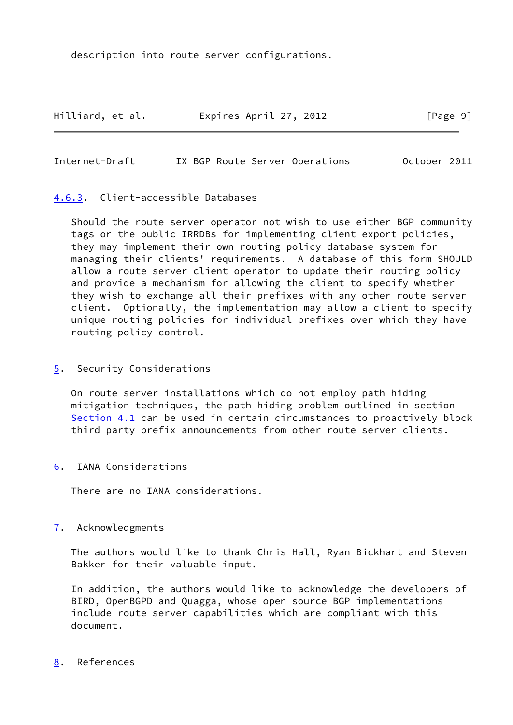description into route server configurations.

Hilliard, et al. Expires April 27, 2012 [Page 9]

<span id="page-10-1"></span>Internet-Draft IX BGP Route Server Operations October 2011

## <span id="page-10-0"></span>[4.6.3](#page-10-0). Client-accessible Databases

 Should the route server operator not wish to use either BGP community tags or the public IRRDBs for implementing client export policies, they may implement their own routing policy database system for managing their clients' requirements. A database of this form SHOULD allow a route server client operator to update their routing policy and provide a mechanism for allowing the client to specify whether they wish to exchange all their prefixes with any other route server client. Optionally, the implementation may allow a client to specify unique routing policies for individual prefixes over which they have routing policy control.

<span id="page-10-2"></span>[5](#page-10-2). Security Considerations

 On route server installations which do not employ path hiding mitigation techniques, the path hiding problem outlined in section [Section 4.1](#page-5-1) can be used in certain circumstances to proactively block third party prefix announcements from other route server clients.

<span id="page-10-3"></span>[6](#page-10-3). IANA Considerations

There are no IANA considerations.

# <span id="page-10-4"></span>[7](#page-10-4). Acknowledgments

 The authors would like to thank Chris Hall, Ryan Bickhart and Steven Bakker for their valuable input.

 In addition, the authors would like to acknowledge the developers of BIRD, OpenBGPD and Quagga, whose open source BGP implementations include route server capabilities which are compliant with this document.

## <span id="page-10-5"></span>[8](#page-10-5). References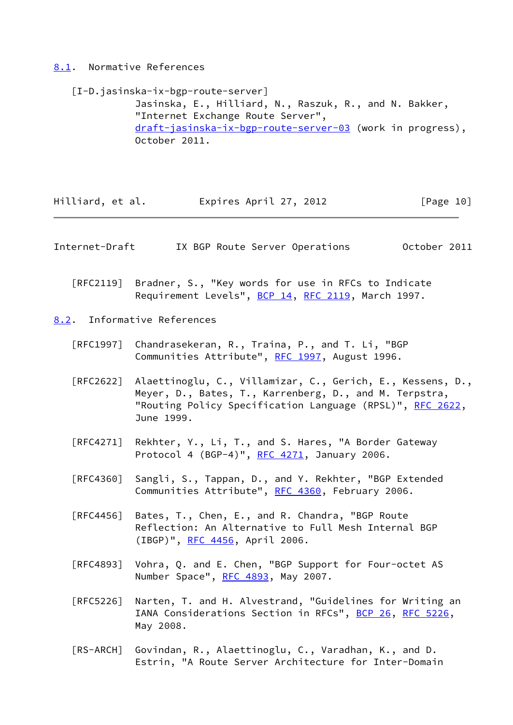<span id="page-11-0"></span>[8.1](#page-11-0). Normative References

<span id="page-11-3"></span> [I-D.jasinska-ix-bgp-route-server] Jasinska, E., Hilliard, N., Raszuk, R., and N. Bakker, "Internet Exchange Route Server", [draft-jasinska-ix-bgp-route-server-03](https://datatracker.ietf.org/doc/pdf/draft-jasinska-ix-bgp-route-server-03) (work in progress), October 2011.

Hilliard, et al. **Expires April 27, 2012** [Page 10]

<span id="page-11-2"></span>Internet-Draft IX BGP Route Server Operations October 2011

 [RFC2119] Bradner, S., "Key words for use in RFCs to Indicate Requirement Levels", [BCP 14](https://datatracker.ietf.org/doc/pdf/bcp14), [RFC 2119](https://datatracker.ietf.org/doc/pdf/rfc2119), March 1997.

<span id="page-11-1"></span>[8.2](#page-11-1). Informative References

- [RFC1997] Chandrasekeran, R., Traina, P., and T. Li, "BGP Communities Attribute", [RFC 1997,](https://datatracker.ietf.org/doc/pdf/rfc1997) August 1996.
- [RFC2622] Alaettinoglu, C., Villamizar, C., Gerich, E., Kessens, D., Meyer, D., Bates, T., Karrenberg, D., and M. Terpstra, "Routing Policy Specification Language (RPSL)", [RFC 2622,](https://datatracker.ietf.org/doc/pdf/rfc2622) June 1999.
- [RFC4271] Rekhter, Y., Li, T., and S. Hares, "A Border Gateway Protocol 4 (BGP-4)", [RFC 4271](https://datatracker.ietf.org/doc/pdf/rfc4271), January 2006.
- [RFC4360] Sangli, S., Tappan, D., and Y. Rekhter, "BGP Extended Communities Attribute", [RFC 4360,](https://datatracker.ietf.org/doc/pdf/rfc4360) February 2006.
- [RFC4456] Bates, T., Chen, E., and R. Chandra, "BGP Route Reflection: An Alternative to Full Mesh Internal BGP (IBGP)", [RFC 4456,](https://datatracker.ietf.org/doc/pdf/rfc4456) April 2006.
- [RFC4893] Vohra, Q. and E. Chen, "BGP Support for Four-octet AS Number Space", [RFC 4893](https://datatracker.ietf.org/doc/pdf/rfc4893), May 2007.
- [RFC5226] Narten, T. and H. Alvestrand, "Guidelines for Writing an IANA Considerations Section in RFCs", [BCP 26](https://datatracker.ietf.org/doc/pdf/bcp26), [RFC 5226](https://datatracker.ietf.org/doc/pdf/rfc5226), May 2008.
- <span id="page-11-4"></span> [RS-ARCH] Govindan, R., Alaettinoglu, C., Varadhan, K., and D. Estrin, "A Route Server Architecture for Inter-Domain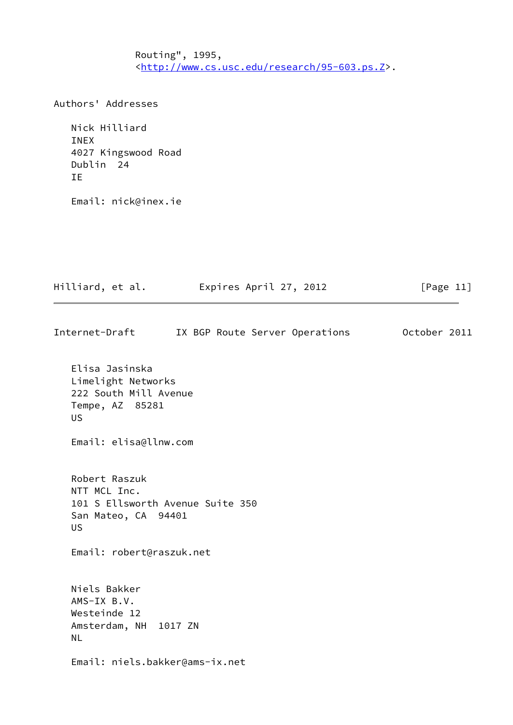Routing", 1995, <[http://www.cs.usc.edu/research/95-603.ps.Z>](http://www.cs.usc.edu/research/95-603.ps.Z).

Authors' Addresses

 Nick Hilliard INEX 4027 Kingswood Road Dublin 24 IE

Email: nick@inex.ie

Hilliard, et al. **Expires April 27, 2012** [Page 11] Internet-Draft IX BGP Route Server Operations October 2011 Elisa Jasinska Limelight Networks 222 South Mill Avenue Tempe, AZ 85281 US Email: elisa@llnw.com Robert Raszuk NTT MCL Inc. 101 S Ellsworth Avenue Suite 350 San Mateo, CA 94401

Email: robert@raszuk.net

US

 Niels Bakker AMS-IX B.V. Westeinde 12 Amsterdam, NH 1017 ZN NL

Email: niels.bakker@ams-ix.net